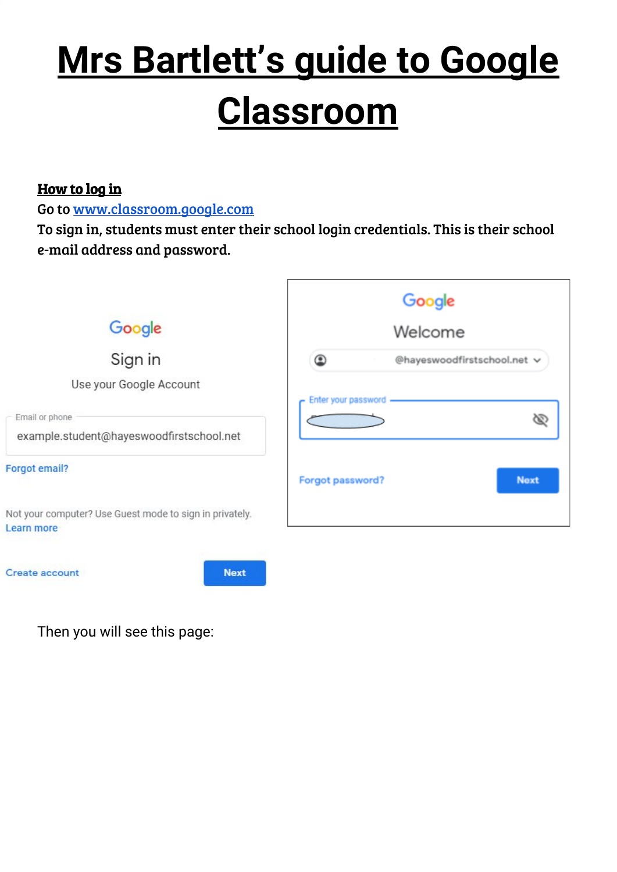# **Mrs Bartlett's guide to Google Classroom**

#### How to log in

Go to [www.classroom.google.com](http://www.classroom.google.com/)

To sign in, students must enter their school login credentials. This is their school e-mail address and password.



Then you will see this page: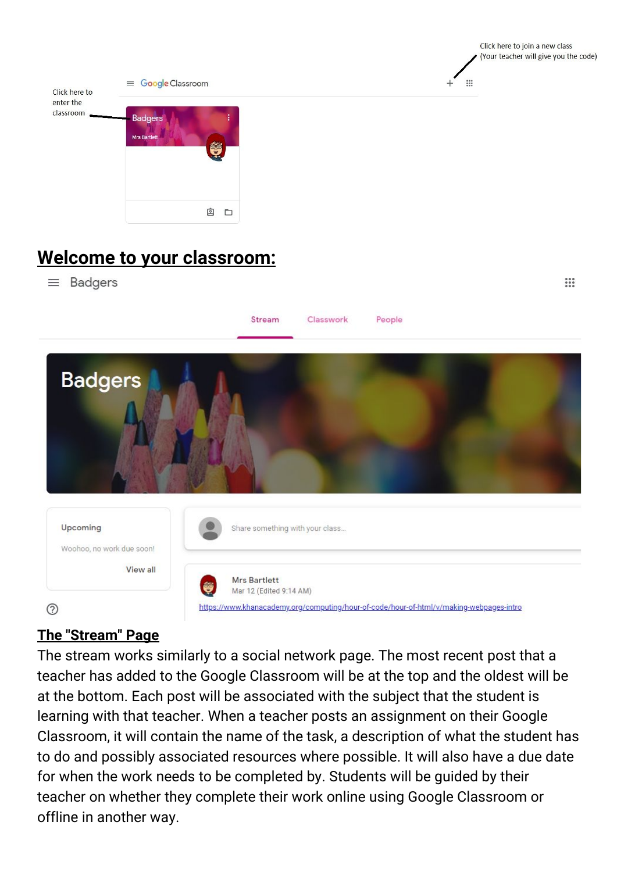

Click here to join a new class

 $\mathbb{R}$ 

# **Welcome to your classroom:**

 $\equiv$  Badgers



## **The "Stream" Page**

The stream works similarly to a social network page. The most recent post that a teacher has added to the Google Classroom will be at the top and the oldest will be at the bottom. Each post will be associated with the subject that the student is learning with that teacher. When a teacher posts an assignment on their Google Classroom, it will contain the name of the task, a description of what the student has to do and possibly associated resources where possible. It will also have a due date for when the work needs to be completed by. Students will be guided by their teacher on whether they complete their work online using Google Classroom or offline in another way.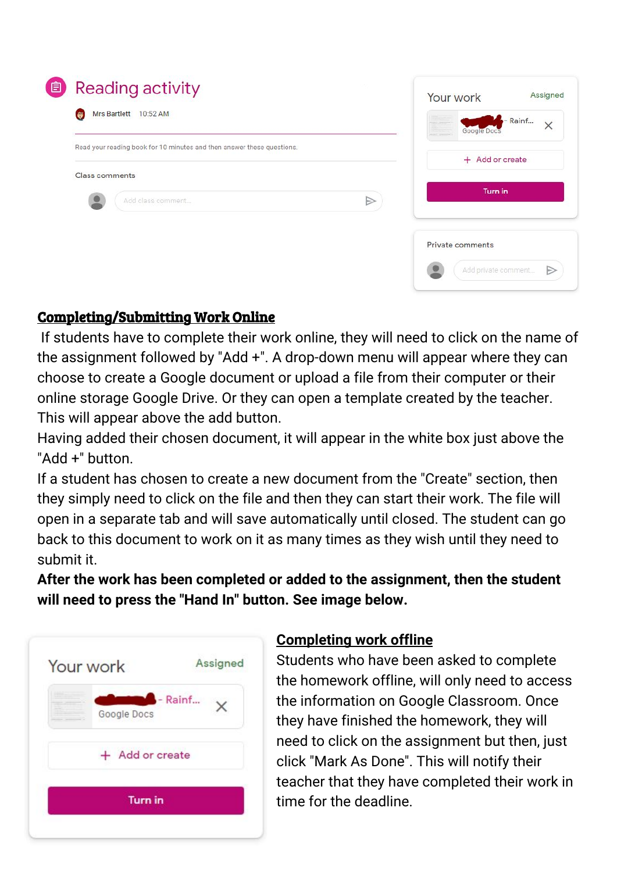| 自 | Reading activity                                                       |                  | Your work           | Assigned            |
|---|------------------------------------------------------------------------|------------------|---------------------|---------------------|
|   | Mrs Bartlett 10:52 AM<br>e                                             |                  | Google Docs         | - Rainf<br>$\times$ |
|   | Read your reading book for 10 minutes and then answer these questions. | + Add or create  |                     |                     |
|   | <b>Class comments</b>                                                  |                  |                     |                     |
|   | Add class comment                                                      | $\triangleright$ | <b>Turn in</b>      |                     |
|   |                                                                        |                  | Private comments    |                     |
|   |                                                                        |                  | Add private comment | đ                   |

### Completing/Submitting Work Online

If students have to complete their work online, they will need to click on the name of the assignment followed by "Add +". A drop-down menu will appear where they can choose to create a Google document or upload a file from their computer or their online storage Google Drive. Or they can open a template created by the teacher. This will appear above the add button.

Having added their chosen document, it will appear in the white box just above the "Add +" button.

If a student has chosen to create a new document from the "Create" section, then they simply need to click on the file and then they can start their work. The file will open in a separate tab and will save automatically until closed. The student can go back to this document to work on it as many times as they wish until they need to submit it.

**After the work has been completed or added to the assignment, then the student will need to press the "Hand In" button. See image below.**



#### **Completing work offline**

Students who have been asked to complete the homework offline, will only need to access the information on Google Classroom. Once they have finished the homework, they will need to click on the assignment but then, just click "Mark As Done". This will notify their teacher that they have completed their work in time for the deadline.